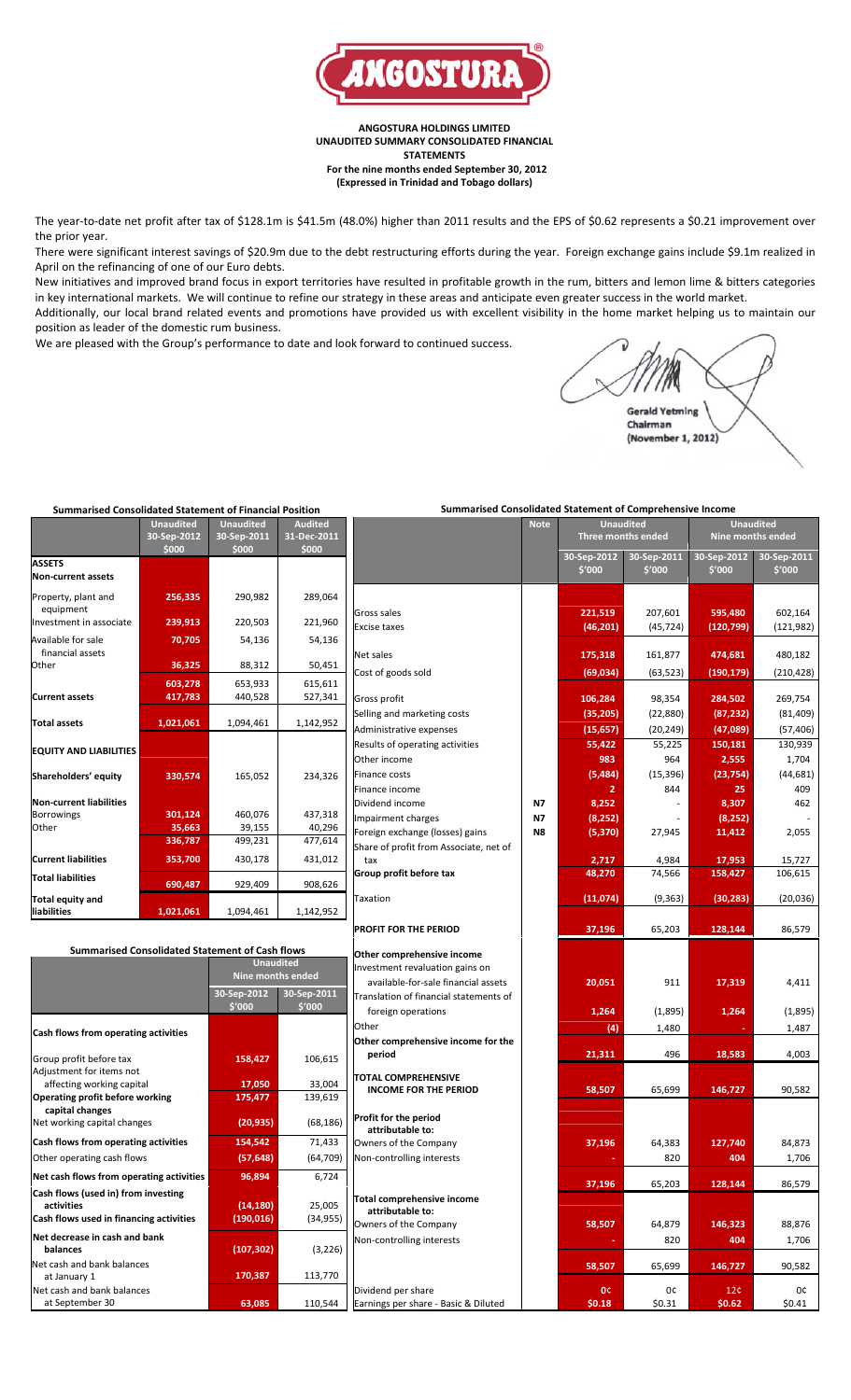

**ANGOSTURA HOLDINGS LIMITED UNAUDITED SUMMARY CONSOLIDATED FINANCIAL STATEMENTS For the nine months ended September 30, 2012 (Expressed in Trinidad and Tobago dollars)**

The year-to-date net profit after tax of \$128.1m is \$41.5m (48.0%) higher than 2011 results and the EPS of \$0.62 represents a \$0.21 improvement over the prior year.

There were significant interest savings of \$20.9m due to the debt restructuring efforts during the year. Foreign exchange gains include \$9.1m realized in April on the refinancing of one of our Euro debts.

New initiatives and improved brand focus in export territories have resulted in profitable growth in the rum, bitters and lemon lime & bitters categories in key international markets. We will continue to refine our strategy in these areas and anticipate even greater success in the world market. Additionally, our local brand related events and promotions have provided us with excellent visibility in the home market helping us to maintain our position as leader of the domestic rum business.

We are pleased with the Group's performance to date and look forward to continued success.

**Gerald Yetming** Chairman (November 1, 2012)

| <b>Summarised Consolidated Statement of Financial Position</b> |                  |                         |                     | <b>Summarised Consolidated Statement of Comprehensive Income</b>       |             |                                      |             |                   |             |  |
|----------------------------------------------------------------|------------------|-------------------------|---------------------|------------------------------------------------------------------------|-------------|--------------------------------------|-------------|-------------------|-------------|--|
|                                                                | <b>Unaudited</b> | <b>Unaudited</b>        | <b>Audited</b>      |                                                                        | <b>Note</b> | <b>Unaudited</b><br><b>Unaudited</b> |             |                   |             |  |
|                                                                | 30-Sep-2012      | 30-Sep-2011             | 31-Dec-2011         |                                                                        |             | Three months ended                   |             | Nine months ended |             |  |
|                                                                | \$000            | \$000                   | \$000               |                                                                        |             | 30-Sep-2012                          | 30-Sep-2011 | 30-Sep-2012       | 30-Sep-2011 |  |
| <b>ASSETS</b>                                                  |                  |                         |                     |                                                                        |             | \$'000                               | \$'000      | \$′000            | \$'000      |  |
| Non-current assets                                             |                  |                         |                     |                                                                        |             |                                      |             |                   |             |  |
| Property, plant and                                            | 256,335          | 290,982                 | 289,064             |                                                                        |             |                                      |             |                   |             |  |
| equipment                                                      |                  |                         |                     | Gross sales                                                            |             | 221,519                              | 207,601     | 595,480           | 602,164     |  |
| Investment in associate                                        | 239,913          | 220,503                 | 221,960             | <b>Excise taxes</b>                                                    |             | (46, 201)                            | (45, 724)   | (120, 799)        | (121, 982)  |  |
| Available for sale                                             | 70,705           | 54,136                  | 54,136              |                                                                        |             |                                      |             |                   |             |  |
| financial assets                                               |                  |                         |                     | Net sales                                                              |             | 175,318                              | 161,877     | 474,681           | 480,182     |  |
| Other                                                          | 36,325           | 88,312                  | 50,451              | Cost of goods sold                                                     |             | (69, 034)                            | (63, 523)   | (190, 179)        | (210, 428)  |  |
|                                                                | 603,278          | 653,933                 | 615,611             |                                                                        |             |                                      |             |                   |             |  |
| <b>Current assets</b>                                          | 417,783          | 440,528                 | 527,341             | Gross profit                                                           |             | 106,284                              | 98,354      | 284,502           | 269,754     |  |
|                                                                |                  |                         |                     | Selling and marketing costs                                            |             | (35, 205)                            | (22, 880)   | (87, 232)         | (81, 409)   |  |
| <b>Total assets</b>                                            | 1,021,061        | 1,094,461               | 1,142,952           | Administrative expenses                                                |             | (15, 657)                            | (20, 249)   | (47,089)          | (57, 406)   |  |
|                                                                |                  |                         |                     | Results of operating activities                                        |             | 55,422                               | 55,225      | 150,181           | 130,939     |  |
| <b>EQUITY AND LIABILITIES</b>                                  |                  |                         |                     | Other income                                                           |             | 983                                  | 964         | 2,555             | 1,704       |  |
|                                                                |                  | 165,052                 | 234,326             | <b>Finance costs</b>                                                   |             | (5, 484)                             | (15, 396)   | (23, 754)         | (44, 681)   |  |
| Shareholders' equity                                           | 330,574          |                         |                     | Finance income                                                         |             | 2                                    | 844         | 25                | 409         |  |
| Non-current liabilities                                        |                  |                         |                     | Dividend income                                                        | N7          | 8,252                                |             | 8,307             | 462         |  |
| <b>Borrowings</b>                                              | 301,124          | 460,076                 | 437,318             | Impairment charges                                                     | N7          | (8, 252)                             |             | (8,252)           |             |  |
| Other                                                          | 35,663           | 39,155                  | 40,296              | Foreign exchange (losses) gains                                        | N8          | (5, 370)                             | 27,945      | 11,412            | 2,055       |  |
|                                                                | 336,787          | 499,231                 | 477,614             | Share of profit from Associate, net of                                 |             |                                      |             |                   |             |  |
| <b>Current liabilities</b>                                     | 353,700          | 430,178                 | 431,012             | tax                                                                    |             | 2,717                                | 4,984       | 17,953            | 15,727      |  |
| <b>Total liabilities</b>                                       |                  |                         |                     | Group profit before tax                                                |             | 48,270                               | 74,566      | 158,427           | 106,615     |  |
|                                                                | 690,487          | 929,409                 | 908,626             |                                                                        |             |                                      |             |                   |             |  |
| <b>Total equity and</b>                                        |                  |                         |                     | Taxation                                                               |             | (11,074)                             | (9, 363)    | (30, 283)         | (20,036)    |  |
| liabilities                                                    | 1,021,061        | 1,094,461               | 1,142,952           |                                                                        |             |                                      |             |                   |             |  |
|                                                                |                  |                         |                     | PROFIT FOR THE PERIOD                                                  |             | 37,196                               | 65,203      | 128,144           | 86,579      |  |
| <b>Summarised Consolidated Statement of Cash flows</b>         |                  |                         |                     |                                                                        |             |                                      |             |                   |             |  |
|                                                                |                  | <b>Unaudited</b>        |                     | Other comprehensive income                                             |             |                                      |             |                   |             |  |
|                                                                |                  | Nine months ended       |                     | Investment revaluation gains on<br>available-for-sale financial assets |             |                                      |             |                   |             |  |
|                                                                |                  | 30-Sep-2012             | 30-Sep-2011         | Translation of financial statements of                                 |             | 20,051                               | 911         | 17,319            | 4,411       |  |
|                                                                |                  | \$'000                  | \$'000              |                                                                        |             |                                      |             |                   |             |  |
|                                                                |                  |                         |                     | foreign operations<br>Other                                            |             | 1,264                                | (1,895)     | 1,264             | (1,895)     |  |
| <b>Cash flows from operating activities</b>                    |                  |                         |                     |                                                                        |             | (4)                                  | 1,480       |                   | 1,487       |  |
|                                                                |                  |                         |                     | Other comprehensive income for the<br>period                           |             | 21,311                               | 496         | 18,583            | 4,003       |  |
| Group profit before tax                                        |                  | 158,427                 | 106,615             |                                                                        |             |                                      |             |                   |             |  |
| Adjustment for items not<br>affecting working capital          |                  | 17,050                  | 33,004              | TOTAL COMPREHENSIVE                                                    |             |                                      |             |                   |             |  |
| <b>Operating profit before working</b>                         |                  | 175,477                 | 139,619             | <b>INCOME FOR THE PERIOD</b>                                           |             | 58,507                               | 65,699      | 146,727           | 90,582      |  |
| capital changes                                                |                  |                         |                     |                                                                        |             |                                      |             |                   |             |  |
| Net working capital changes                                    |                  | (20, 935)               | (68, 186)           | Profit for the period<br>attributable to:                              |             |                                      |             |                   |             |  |
| Cash flows from operating activities                           |                  | 154,542                 | 71,433              | Owners of the Company                                                  |             | 37,196                               | 64,383      | 127,740           | 84,873      |  |
| Other operating cash flows                                     |                  | (57, 648)               | (64, 709)           | Non-controlling interests                                              |             |                                      | 820         | 404               | 1,706       |  |
|                                                                |                  |                         |                     |                                                                        |             |                                      |             |                   |             |  |
| Net cash flows from operating activities                       |                  | 96,894                  | 6,724               |                                                                        |             | 37,196                               | 65,203      | 128,144           | 86,579      |  |
| Cash flows (used in) from investing                            |                  |                         |                     | Total comprehensive income                                             |             |                                      |             |                   |             |  |
| activities<br>Cash flows used in financing activities          |                  | (14, 180)<br>(190, 016) | 25,005<br>(34, 955) | attributable to:                                                       |             |                                      |             |                   |             |  |
|                                                                |                  |                         |                     | Owners of the Company                                                  |             | 58,507                               | 64,879      | 146,323           | 88,876      |  |
| Net decrease in cash and bank                                  |                  |                         |                     | Non-controlling interests                                              |             |                                      | 820         | 404               | 1,706       |  |
| balances                                                       |                  | (107, 302)              | (3, 226)            |                                                                        |             |                                      |             |                   |             |  |
| Net cash and bank balances<br>at January 1                     |                  | 170,387                 | 113,770             |                                                                        |             | 58,507                               | 65,699      | 146,727           | 90,582      |  |
| Net cash and bank balances                                     |                  |                         |                     | Dividend per share                                                     |             | 0¢                                   | 0¢          | 12C               | 0¢          |  |
| at September 30                                                |                  | 63,085                  | 110,544             | Earnings per share - Basic & Diluted                                   |             | \$0.18                               | \$0.31      | \$0.62            | \$0.41      |  |
|                                                                |                  |                         |                     |                                                                        |             |                                      |             |                   |             |  |